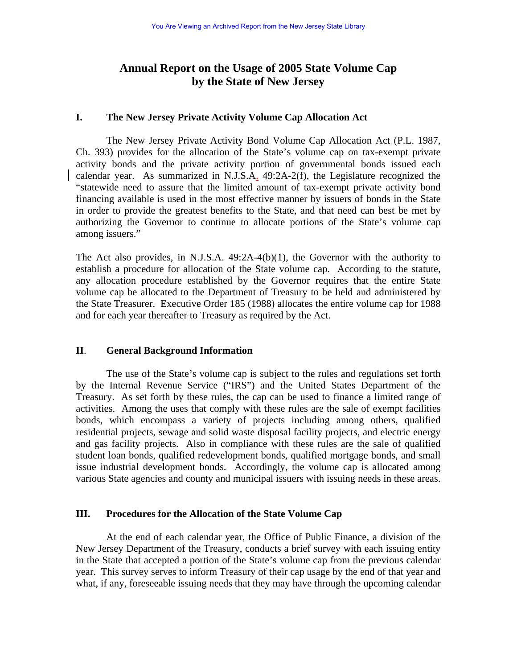# **Annual Report on the Usage of 2005 State Volume Cap by the State of New Jersey**

### **I. The New Jersey Private Activity Volume Cap Allocation Act**

 The New Jersey Private Activity Bond Volume Cap Allocation Act (P.L. 1987, Ch. 393) provides for the allocation of the State's volume cap on tax-exempt private activity bonds and the private activity portion of governmental bonds issued each calendar year. As summarized in N.J.S.A. 49:2A-2(f), the Legislature recognized the "statewide need to assure that the limited amount of tax-exempt private activity bond financing available is used in the most effective manner by issuers of bonds in the State in order to provide the greatest benefits to the State, and that need can best be met by authorizing the Governor to continue to allocate portions of the State's volume cap among issuers."

The Act also provides, in N.J.S.A. 49:2A-4(b)(1), the Governor with the authority to establish a procedure for allocation of the State volume cap. According to the statute, any allocation procedure established by the Governor requires that the entire State volume cap be allocated to the Department of Treasury to be held and administered by the State Treasurer. Executive Order 185 (1988) allocates the entire volume cap for 1988 and for each year thereafter to Treasury as required by the Act.

#### **II**. **General Background Information**

 The use of the State's volume cap is subject to the rules and regulations set forth by the Internal Revenue Service ("IRS") and the United States Department of the Treasury. As set forth by these rules, the cap can be used to finance a limited range of activities. Among the uses that comply with these rules are the sale of exempt facilities bonds, which encompass a variety of projects including among others, qualified residential projects, sewage and solid waste disposal facility projects, and electric energy and gas facility projects. Also in compliance with these rules are the sale of qualified student loan bonds, qualified redevelopment bonds, qualified mortgage bonds, and small issue industrial development bonds. Accordingly, the volume cap is allocated among various State agencies and county and municipal issuers with issuing needs in these areas.

#### **III. Procedures for the Allocation of the State Volume Cap**

At the end of each calendar year, the Office of Public Finance, a division of the New Jersey Department of the Treasury, conducts a brief survey with each issuing entity in the State that accepted a portion of the State's volume cap from the previous calendar year. This survey serves to inform Treasury of their cap usage by the end of that year and what, if any, foreseeable issuing needs that they may have through the upcoming calendar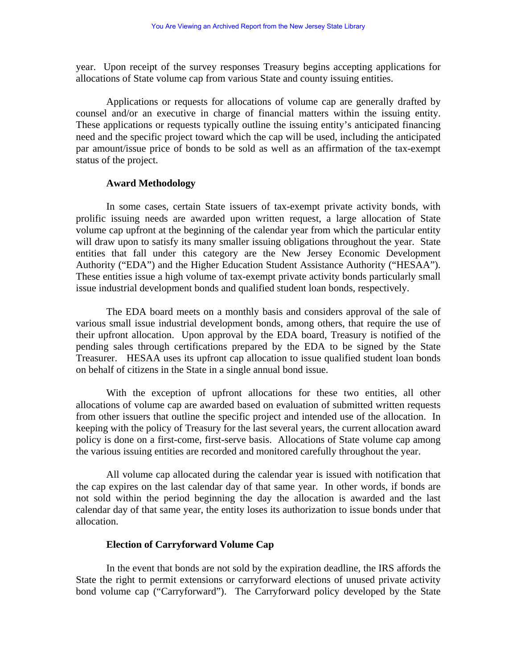year. Upon receipt of the survey responses Treasury begins accepting applications for allocations of State volume cap from various State and county issuing entities.

Applications or requests for allocations of volume cap are generally drafted by counsel and/or an executive in charge of financial matters within the issuing entity. These applications or requests typically outline the issuing entity's anticipated financing need and the specific project toward which the cap will be used, including the anticipated par amount/issue price of bonds to be sold as well as an affirmation of the tax-exempt status of the project.

#### **Award Methodology**

In some cases, certain State issuers of tax-exempt private activity bonds, with prolific issuing needs are awarded upon written request, a large allocation of State volume cap upfront at the beginning of the calendar year from which the particular entity will draw upon to satisfy its many smaller issuing obligations throughout the year. State entities that fall under this category are the New Jersey Economic Development Authority ("EDA") and the Higher Education Student Assistance Authority ("HESAA"). These entities issue a high volume of tax-exempt private activity bonds particularly small issue industrial development bonds and qualified student loan bonds, respectively.

The EDA board meets on a monthly basis and considers approval of the sale of various small issue industrial development bonds, among others, that require the use of their upfront allocation. Upon approval by the EDA board, Treasury is notified of the pending sales through certifications prepared by the EDA to be signed by the State Treasurer. HESAA uses its upfront cap allocation to issue qualified student loan bonds on behalf of citizens in the State in a single annual bond issue.

With the exception of upfront allocations for these two entities, all other allocations of volume cap are awarded based on evaluation of submitted written requests from other issuers that outline the specific project and intended use of the allocation. In keeping with the policy of Treasury for the last several years, the current allocation award policy is done on a first-come, first-serve basis. Allocations of State volume cap among the various issuing entities are recorded and monitored carefully throughout the year.

All volume cap allocated during the calendar year is issued with notification that the cap expires on the last calendar day of that same year. In other words, if bonds are not sold within the period beginning the day the allocation is awarded and the last calendar day of that same year, the entity loses its authorization to issue bonds under that allocation.

#### **Election of Carryforward Volume Cap**

In the event that bonds are not sold by the expiration deadline, the IRS affords the State the right to permit extensions or carryforward elections of unused private activity bond volume cap ("Carryforward"). The Carryforward policy developed by the State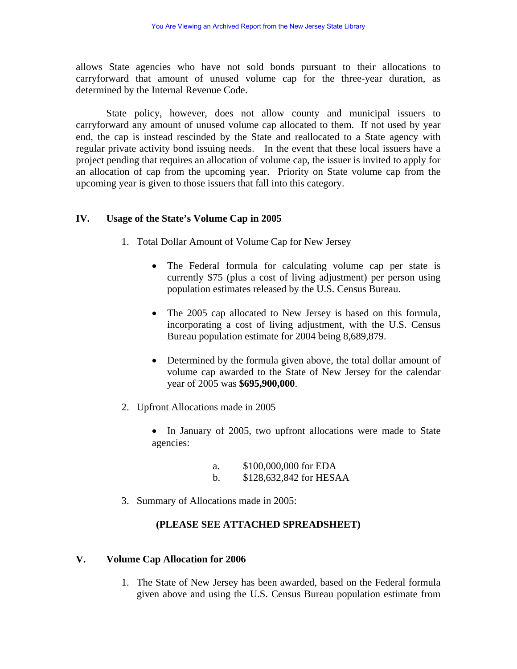allows State agencies who have not sold bonds pursuant to their allocations to carryforward that amount of unused volume cap for the three-year duration, as determined by the Internal Revenue Code.

State policy, however, does not allow county and municipal issuers to carryforward any amount of unused volume cap allocated to them. If not used by year end, the cap is instead rescinded by the State and reallocated to a State agency with regular private activity bond issuing needs. In the event that these local issuers have a project pending that requires an allocation of volume cap, the issuer is invited to apply for an allocation of cap from the upcoming year. Priority on State volume cap from the upcoming year is given to those issuers that fall into this category.

# **IV. Usage of the State's Volume Cap in 2005**

- 1. Total Dollar Amount of Volume Cap for New Jersey
	- The Federal formula for calculating volume cap per state is currently \$75 (plus a cost of living adjustment) per person using population estimates released by the U.S. Census Bureau.
	- The 2005 cap allocated to New Jersey is based on this formula, incorporating a cost of living adjustment, with the U.S. Census Bureau population estimate for 2004 being 8,689,879.
	- Determined by the formula given above, the total dollar amount of volume cap awarded to the State of New Jersey for the calendar year of 2005 was **\$695,900,000**.
- 2. Upfront Allocations made in 2005
	- In January of 2005, two upfront allocations were made to State agencies:
		- a. \$100,000,000 for EDA b. \$128,632,842 for HESAA
- 3. Summary of Allocations made in 2005:

# **(PLEASE SEE ATTACHED SPREADSHEET)**

# **V. Volume Cap Allocation for 2006**

1. The State of New Jersey has been awarded, based on the Federal formula given above and using the U.S. Census Bureau population estimate from